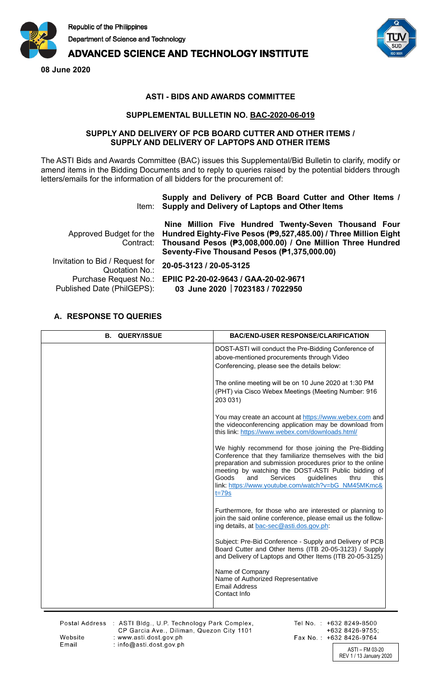

# **ADVANCED SCIENCE AND TECHNOLOGY INSTITUTE**

**08 June 2020**



## **ASTI - BIDS AND AWARDS COMMITTEE**

### **SUPPLEMENTAL BULLETIN NO. BAC-2020-06-019**

#### **SUPPLY AND DELIVERY OF PCB BOARD CUTTER AND OTHER ITEMS / SUPPLY AND DELIVERY OF LAPTOPS AND OTHER ITEMS**

The ASTI Bids and Awards Committee (BAC) issues this Supplemental/Bid Bulletin to clarify, modify or amend items in the Bidding Documents and to reply to queries raised by the potential bidders through letters/emails for the information of all bidders for the procurement of:

### Item: **Supply and Delivery of Laptops and Other Items Supply and Delivery of PCB Board Cutter and Other Items /**

|                                                     | Nine Million Five Hundred Twenty-Seven Thousand Four<br>Approved Budget for the Hundred Eighty-Five Pesos (P9,527,485.00) / Three Million Eight<br>Contract: Thousand Pesos (P3,008,000.00) / One Million Three Hundred<br>Seventy-Five Thousand Pesos (P1,375,000.00) |
|-----------------------------------------------------|------------------------------------------------------------------------------------------------------------------------------------------------------------------------------------------------------------------------------------------------------------------------|
| Invitation to Bid / Request for<br>Quotation No.:   | 20-05-3123 / 20-05-3125                                                                                                                                                                                                                                                |
| Purchase Request No.:<br>Published Date (PhilGEPS): | EPIIC P2-20-02-9643 / GAA-20-02-9671<br>03 June 2020 7023183 / 7022950                                                                                                                                                                                                 |

# **A. RESPONSE TO QUERIES**

| <b>QUERY/ISSUE</b><br>В. | <b>BAC/END-USER RESPONSE/CLARIFICATION</b>                                                                                                                                                                                                                                                                                                                         |
|--------------------------|--------------------------------------------------------------------------------------------------------------------------------------------------------------------------------------------------------------------------------------------------------------------------------------------------------------------------------------------------------------------|
|                          | DOST-ASTI will conduct the Pre-Bidding Conference of<br>above-mentioned procurements through Video<br>Conferencing, please see the details below:                                                                                                                                                                                                                  |
|                          | The online meeting will be on 10 June 2020 at 1:30 PM<br>(PHT) via Cisco Webex Meetings (Meeting Number: 916<br>203 031)                                                                                                                                                                                                                                           |
|                          | You may create an account at https://www.webex.com and<br>the videoconferencing application may be download from<br>this link: https://www.webex.com/downloads.html/                                                                                                                                                                                               |
|                          | We highly recommend for those joining the Pre-Bidding<br>Conference that they familiarize themselves with the bid<br>preparation and submission procedures prior to the online<br>meeting by watching the DOST-ASTI Public bidding of<br>Goods<br>and<br>Services<br>guidelines<br>thru<br>this<br>link: https://www.youtube.com/watch?v=bG_NM45MKmc&<br>$t = 79s$ |
|                          | Furthermore, for those who are interested or planning to<br>join the said online conference, please email us the follow-<br>ing details, at bac-sec@asti.dos.gov.ph:                                                                                                                                                                                               |
|                          | Subject: Pre-Bid Conference - Supply and Delivery of PCB<br>Board Cutter and Other Items (ITB 20-05-3123) / Supply<br>and Delivery of Laptops and Other Items (ITB 20-05-3125)                                                                                                                                                                                     |
|                          | Name of Company<br>Name of Authorized Representative<br><b>Email Address</b><br>Contact Info                                                                                                                                                                                                                                                                       |